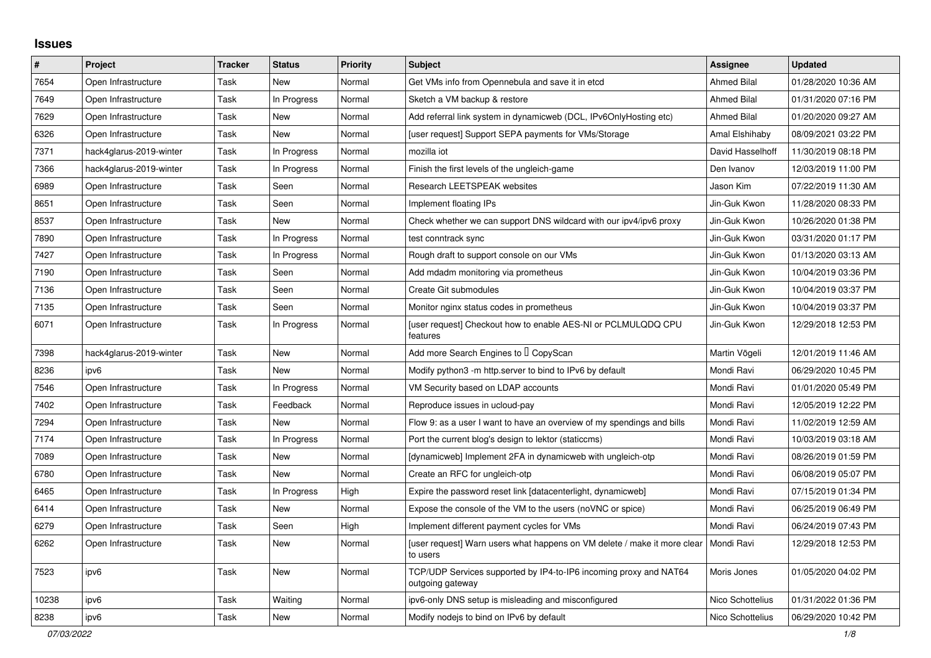## **Issues**

| #     | Project                 | <b>Tracker</b> | <b>Status</b> | <b>Priority</b> | <b>Subject</b>                                                                        | <b>Assignee</b>    | <b>Updated</b>      |
|-------|-------------------------|----------------|---------------|-----------------|---------------------------------------------------------------------------------------|--------------------|---------------------|
| 7654  | Open Infrastructure     | Task           | New           | Normal          | Get VMs info from Opennebula and save it in etcd                                      | <b>Ahmed Bilal</b> | 01/28/2020 10:36 AM |
| 7649  | Open Infrastructure     | Task           | In Progress   | Normal          | Sketch a VM backup & restore                                                          | <b>Ahmed Bilal</b> | 01/31/2020 07:16 PM |
| 7629  | Open Infrastructure     | Task           | New           | Normal          | Add referral link system in dynamicweb (DCL, IPv6OnlyHosting etc)                     | <b>Ahmed Bilal</b> | 01/20/2020 09:27 AM |
| 6326  | Open Infrastructure     | Task           | New           | Normal          | [user request] Support SEPA payments for VMs/Storage                                  | Amal Elshihaby     | 08/09/2021 03:22 PM |
| 7371  | hack4glarus-2019-winter | Task           | In Progress   | Normal          | mozilla iot                                                                           | David Hasselhoff   | 11/30/2019 08:18 PM |
| 7366  | hack4glarus-2019-winter | Task           | In Progress   | Normal          | Finish the first levels of the ungleich-game                                          | Den Ivanov         | 12/03/2019 11:00 PM |
| 6989  | Open Infrastructure     | Task           | Seen          | Normal          | <b>Research LEETSPEAK websites</b>                                                    | Jason Kim          | 07/22/2019 11:30 AM |
| 8651  | Open Infrastructure     | Task           | Seen          | Normal          | Implement floating IPs                                                                | Jin-Guk Kwon       | 11/28/2020 08:33 PM |
| 8537  | Open Infrastructure     | Task           | New           | Normal          | Check whether we can support DNS wildcard with our ipv4/ipv6 proxy                    | Jin-Guk Kwon       | 10/26/2020 01:38 PM |
| 7890  | Open Infrastructure     | Task           | In Progress   | Normal          | test conntrack sync                                                                   | Jin-Guk Kwon       | 03/31/2020 01:17 PM |
| 7427  | Open Infrastructure     | Task           | In Progress   | Normal          | Rough draft to support console on our VMs                                             | Jin-Guk Kwon       | 01/13/2020 03:13 AM |
| 7190  | Open Infrastructure     | Task           | Seen          | Normal          | Add mdadm monitoring via prometheus                                                   | Jin-Guk Kwon       | 10/04/2019 03:36 PM |
| 7136  | Open Infrastructure     | Task           | Seen          | Normal          | Create Git submodules                                                                 | Jin-Guk Kwon       | 10/04/2019 03:37 PM |
| 7135  | Open Infrastructure     | Task           | Seen          | Normal          | Monitor nginx status codes in prometheus                                              | Jin-Guk Kwon       | 10/04/2019 03:37 PM |
| 6071  | Open Infrastructure     | Task           | In Progress   | Normal          | [user request] Checkout how to enable AES-NI or PCLMULQDQ CPU<br>features             | Jin-Guk Kwon       | 12/29/2018 12:53 PM |
| 7398  | hack4glarus-2019-winter | Task           | New           | Normal          | Add more Search Engines to I CopyScan                                                 | Martin Vögeli      | 12/01/2019 11:46 AM |
| 8236  | ipv6                    | Task           | New           | Normal          | Modify python3 -m http.server to bind to IPv6 by default                              | Mondi Ravi         | 06/29/2020 10:45 PM |
| 7546  | Open Infrastructure     | Task           | In Progress   | Normal          | VM Security based on LDAP accounts                                                    | Mondi Ravi         | 01/01/2020 05:49 PM |
| 7402  | Open Infrastructure     | Task           | Feedback      | Normal          | Reproduce issues in ucloud-pay                                                        | Mondi Ravi         | 12/05/2019 12:22 PM |
| 7294  | Open Infrastructure     | Task           | New           | Normal          | Flow 9: as a user I want to have an overview of my spendings and bills                | Mondi Ravi         | 11/02/2019 12:59 AM |
| 7174  | Open Infrastructure     | Task           | In Progress   | Normal          | Port the current blog's design to lektor (staticcms)                                  | Mondi Ravi         | 10/03/2019 03:18 AM |
| 7089  | Open Infrastructure     | Task           | <b>New</b>    | Normal          | [dynamicweb] Implement 2FA in dynamicweb with ungleich-otp                            | Mondi Ravi         | 08/26/2019 01:59 PM |
| 6780  | Open Infrastructure     | Task           | <b>New</b>    | Normal          | Create an RFC for ungleich-otp                                                        | Mondi Ravi         | 06/08/2019 05:07 PM |
| 6465  | Open Infrastructure     | Task           | In Progress   | High            | Expire the password reset link [datacenterlight, dynamicweb]                          | Mondi Ravi         | 07/15/2019 01:34 PM |
| 6414  | Open Infrastructure     | Task           | New           | Normal          | Expose the console of the VM to the users (noVNC or spice)                            | Mondi Ravi         | 06/25/2019 06:49 PM |
| 6279  | Open Infrastructure     | Task           | Seen          | High            | Implement different payment cycles for VMs                                            | Mondi Ravi         | 06/24/2019 07:43 PM |
| 6262  | Open Infrastructure     | Task           | New           | Normal          | [user request] Warn users what happens on VM delete / make it more clear<br>to users  | Mondi Ravi         | 12/29/2018 12:53 PM |
| 7523  | ipv6                    | Task           | New           | Normal          | TCP/UDP Services supported by IP4-to-IP6 incoming proxy and NAT64<br>outgoing gateway | Moris Jones        | 01/05/2020 04:02 PM |
| 10238 | ipv6                    | Task           | Waiting       | Normal          | ipv6-only DNS setup is misleading and misconfigured                                   | Nico Schottelius   | 01/31/2022 01:36 PM |
| 8238  | ipv6                    | Task           | New           | Normal          | Modify nodejs to bind on IPv6 by default                                              | Nico Schottelius   | 06/29/2020 10:42 PM |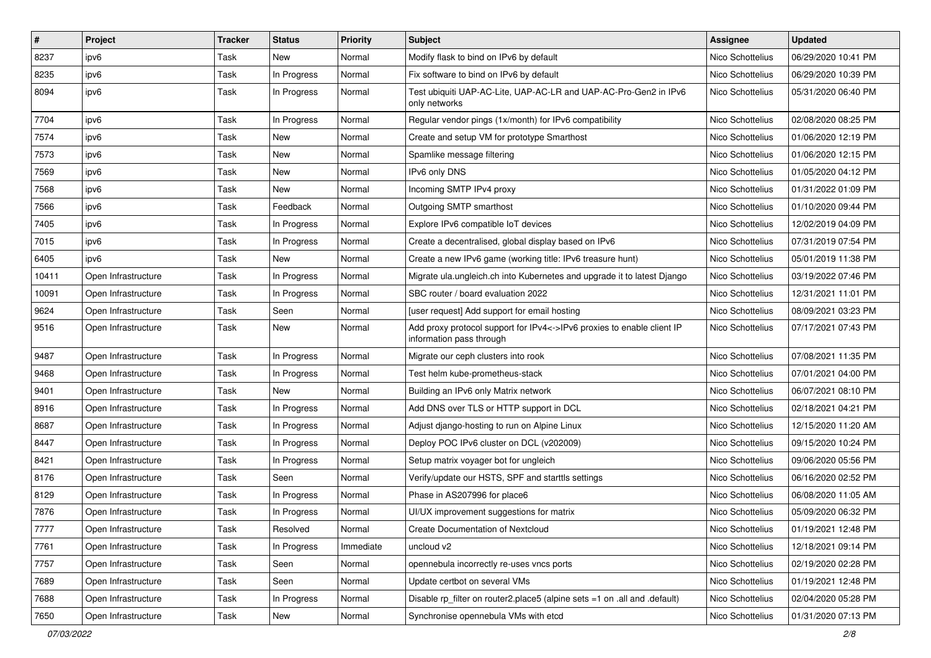| $\vert$ # | Project             | <b>Tracker</b> | <b>Status</b> | <b>Priority</b> | Subject                                                                                            | <b>Assignee</b>  | <b>Updated</b>      |
|-----------|---------------------|----------------|---------------|-----------------|----------------------------------------------------------------------------------------------------|------------------|---------------------|
| 8237      | ipv6                | Task           | New           | Normal          | Modify flask to bind on IPv6 by default                                                            | Nico Schottelius | 06/29/2020 10:41 PM |
| 8235      | ipv6                | Task           | In Progress   | Normal          | Fix software to bind on IPv6 by default                                                            | Nico Schottelius | 06/29/2020 10:39 PM |
| 8094      | ipv6                | Task           | In Progress   | Normal          | Test ubiquiti UAP-AC-Lite, UAP-AC-LR and UAP-AC-Pro-Gen2 in IPv6<br>only networks                  | Nico Schottelius | 05/31/2020 06:40 PM |
| 7704      | ipv6                | Task           | In Progress   | Normal          | Regular vendor pings (1x/month) for IPv6 compatibility                                             | Nico Schottelius | 02/08/2020 08:25 PM |
| 7574      | ipv6                | Task           | New           | Normal          | Create and setup VM for prototype Smarthost                                                        | Nico Schottelius | 01/06/2020 12:19 PM |
| 7573      | ipv6                | Task           | New           | Normal          | Spamlike message filtering                                                                         | Nico Schottelius | 01/06/2020 12:15 PM |
| 7569      | ipv6                | Task           | <b>New</b>    | Normal          | IPv6 only DNS                                                                                      | Nico Schottelius | 01/05/2020 04:12 PM |
| 7568      | ipv6                | Task           | New           | Normal          | Incoming SMTP IPv4 proxy                                                                           | Nico Schottelius | 01/31/2022 01:09 PM |
| 7566      | ipv6                | Task           | Feedback      | Normal          | Outgoing SMTP smarthost                                                                            | Nico Schottelius | 01/10/2020 09:44 PM |
| 7405      | ipv6                | Task           | In Progress   | Normal          | Explore IPv6 compatible IoT devices                                                                | Nico Schottelius | 12/02/2019 04:09 PM |
| 7015      | ipv6                | Task           | In Progress   | Normal          | Create a decentralised, global display based on IPv6                                               | Nico Schottelius | 07/31/2019 07:54 PM |
| 6405      | ipv6                | Task           | New           | Normal          | Create a new IPv6 game (working title: IPv6 treasure hunt)                                         | Nico Schottelius | 05/01/2019 11:38 PM |
| 10411     | Open Infrastructure | Task           | In Progress   | Normal          | Migrate ula.ungleich.ch into Kubernetes and upgrade it to latest Django                            | Nico Schottelius | 03/19/2022 07:46 PM |
| 10091     | Open Infrastructure | Task           | In Progress   | Normal          | SBC router / board evaluation 2022                                                                 | Nico Schottelius | 12/31/2021 11:01 PM |
| 9624      | Open Infrastructure | Task           | Seen          | Normal          | [user request] Add support for email hosting                                                       | Nico Schottelius | 08/09/2021 03:23 PM |
| 9516      | Open Infrastructure | Task           | New           | Normal          | Add proxy protocol support for IPv4<->IPv6 proxies to enable client IP<br>information pass through | Nico Schottelius | 07/17/2021 07:43 PM |
| 9487      | Open Infrastructure | Task           | In Progress   | Normal          | Migrate our ceph clusters into rook                                                                | Nico Schottelius | 07/08/2021 11:35 PM |
| 9468      | Open Infrastructure | Task           | In Progress   | Normal          | Test helm kube-prometheus-stack                                                                    | Nico Schottelius | 07/01/2021 04:00 PM |
| 9401      | Open Infrastructure | Task           | <b>New</b>    | Normal          | Building an IPv6 only Matrix network                                                               | Nico Schottelius | 06/07/2021 08:10 PM |
| 8916      | Open Infrastructure | Task           | In Progress   | Normal          | Add DNS over TLS or HTTP support in DCL                                                            | Nico Schottelius | 02/18/2021 04:21 PM |
| 8687      | Open Infrastructure | Task           | In Progress   | Normal          | Adjust diango-hosting to run on Alpine Linux                                                       | Nico Schottelius | 12/15/2020 11:20 AM |
| 8447      | Open Infrastructure | Task           | In Progress   | Normal          | Deploy POC IPv6 cluster on DCL (v202009)                                                           | Nico Schottelius | 09/15/2020 10:24 PM |
| 8421      | Open Infrastructure | Task           | In Progress   | Normal          | Setup matrix voyager bot for ungleich                                                              | Nico Schottelius | 09/06/2020 05:56 PM |
| 8176      | Open Infrastructure | Task           | Seen          | Normal          | Verify/update our HSTS, SPF and starttls settings                                                  | Nico Schottelius | 06/16/2020 02:52 PM |
| 8129      | Open Infrastructure | Task           | In Progress   | Normal          | Phase in AS207996 for place6                                                                       | Nico Schottelius | 06/08/2020 11:05 AM |
| 7876      | Open Infrastructure | Task           | In Progress   | Normal          | UI/UX improvement suggestions for matrix                                                           | Nico Schottelius | 05/09/2020 06:32 PM |
| 7777      | Open Infrastructure | Task           | Resolved      | Normal          | Create Documentation of Nextcloud                                                                  | Nico Schottelius | 01/19/2021 12:48 PM |
| 7761      | Open Infrastructure | Task           | In Progress   | Immediate       | uncloud v2                                                                                         | Nico Schottelius | 12/18/2021 09:14 PM |
| 7757      | Open Infrastructure | Task           | Seen          | Normal          | opennebula incorrectly re-uses vncs ports                                                          | Nico Schottelius | 02/19/2020 02:28 PM |
| 7689      | Open Infrastructure | Task           | Seen          | Normal          | Update certbot on several VMs                                                                      | Nico Schottelius | 01/19/2021 12:48 PM |
| 7688      | Open Infrastructure | Task           | In Progress   | Normal          | Disable rp_filter on router2.place5 (alpine sets =1 on .all and .default)                          | Nico Schottelius | 02/04/2020 05:28 PM |
| 7650      | Open Infrastructure | Task           | New           | Normal          | Synchronise opennebula VMs with etcd                                                               | Nico Schottelius | 01/31/2020 07:13 PM |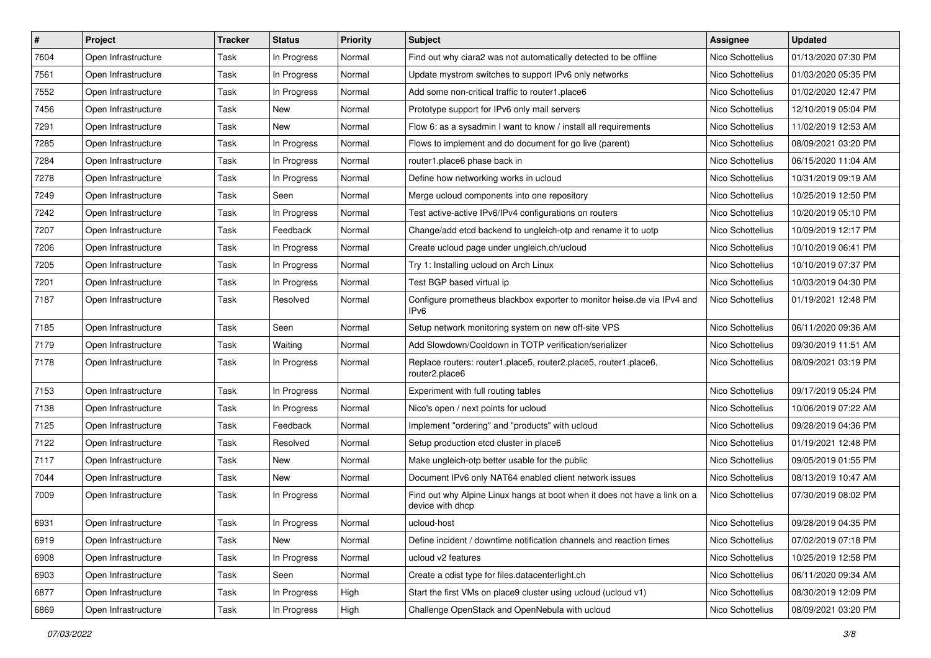| $\vert$ # | Project             | <b>Tracker</b> | <b>Status</b> | <b>Priority</b> | <b>Subject</b>                                                                                | <b>Assignee</b>  | <b>Updated</b>      |
|-----------|---------------------|----------------|---------------|-----------------|-----------------------------------------------------------------------------------------------|------------------|---------------------|
| 7604      | Open Infrastructure | Task           | In Progress   | Normal          | Find out why ciara2 was not automatically detected to be offline                              | Nico Schottelius | 01/13/2020 07:30 PM |
| 7561      | Open Infrastructure | Task           | In Progress   | Normal          | Update mystrom switches to support IPv6 only networks                                         | Nico Schottelius | 01/03/2020 05:35 PM |
| 7552      | Open Infrastructure | Task           | In Progress   | Normal          | Add some non-critical traffic to router1.place6                                               | Nico Schottelius | 01/02/2020 12:47 PM |
| 7456      | Open Infrastructure | Task           | New           | Normal          | Prototype support for IPv6 only mail servers                                                  | Nico Schottelius | 12/10/2019 05:04 PM |
| 7291      | Open Infrastructure | Task           | New           | Normal          | Flow 6: as a sysadmin I want to know / install all requirements                               | Nico Schottelius | 11/02/2019 12:53 AM |
| 7285      | Open Infrastructure | Task           | In Progress   | Normal          | Flows to implement and do document for go live (parent)                                       | Nico Schottelius | 08/09/2021 03:20 PM |
| 7284      | Open Infrastructure | Task           | In Progress   | Normal          | router1.place6 phase back in                                                                  | Nico Schottelius | 06/15/2020 11:04 AM |
| 7278      | Open Infrastructure | Task           | In Progress   | Normal          | Define how networking works in ucloud                                                         | Nico Schottelius | 10/31/2019 09:19 AM |
| 7249      | Open Infrastructure | Task           | Seen          | Normal          | Merge ucloud components into one repository                                                   | Nico Schottelius | 10/25/2019 12:50 PM |
| 7242      | Open Infrastructure | Task           | In Progress   | Normal          | Test active-active IPv6/IPv4 configurations on routers                                        | Nico Schottelius | 10/20/2019 05:10 PM |
| 7207      | Open Infrastructure | Task           | Feedback      | Normal          | Change/add etcd backend to ungleich-otp and rename it to uotp                                 | Nico Schottelius | 10/09/2019 12:17 PM |
| 7206      | Open Infrastructure | Task           | In Progress   | Normal          | Create ucloud page under ungleich.ch/ucloud                                                   | Nico Schottelius | 10/10/2019 06:41 PM |
| 7205      | Open Infrastructure | Task           | In Progress   | Normal          | Try 1: Installing ucloud on Arch Linux                                                        | Nico Schottelius | 10/10/2019 07:37 PM |
| 7201      | Open Infrastructure | Task           | In Progress   | Normal          | Test BGP based virtual ip                                                                     | Nico Schottelius | 10/03/2019 04:30 PM |
| 7187      | Open Infrastructure | Task           | Resolved      | Normal          | Configure prometheus blackbox exporter to monitor heise.de via IPv4 and<br>IP <sub>v6</sub>   | Nico Schottelius | 01/19/2021 12:48 PM |
| 7185      | Open Infrastructure | Task           | Seen          | Normal          | Setup network monitoring system on new off-site VPS                                           | Nico Schottelius | 06/11/2020 09:36 AM |
| 7179      | Open Infrastructure | Task           | Waiting       | Normal          | Add Slowdown/Cooldown in TOTP verification/serializer                                         | Nico Schottelius | 09/30/2019 11:51 AM |
| 7178      | Open Infrastructure | Task           | In Progress   | Normal          | Replace routers: router1.place5, router2.place5, router1.place6,<br>router2.place6            | Nico Schottelius | 08/09/2021 03:19 PM |
| 7153      | Open Infrastructure | Task           | In Progress   | Normal          | Experiment with full routing tables                                                           | Nico Schottelius | 09/17/2019 05:24 PM |
| 7138      | Open Infrastructure | Task           | In Progress   | Normal          | Nico's open / next points for ucloud                                                          | Nico Schottelius | 10/06/2019 07:22 AM |
| 7125      | Open Infrastructure | Task           | Feedback      | Normal          | Implement "ordering" and "products" with ucloud                                               | Nico Schottelius | 09/28/2019 04:36 PM |
| 7122      | Open Infrastructure | Task           | Resolved      | Normal          | Setup production etcd cluster in place6                                                       | Nico Schottelius | 01/19/2021 12:48 PM |
| 7117      | Open Infrastructure | Task           | New           | Normal          | Make ungleich-otp better usable for the public                                                | Nico Schottelius | 09/05/2019 01:55 PM |
| 7044      | Open Infrastructure | Task           | New           | Normal          | Document IPv6 only NAT64 enabled client network issues                                        | Nico Schottelius | 08/13/2019 10:47 AM |
| 7009      | Open Infrastructure | Task           | In Progress   | Normal          | Find out why Alpine Linux hangs at boot when it does not have a link on a<br>device with dhcp | Nico Schottelius | 07/30/2019 08:02 PM |
| 6931      | Open Infrastructure | Task           | In Progress   | Normal          | ucloud-host                                                                                   | Nico Schottelius | 09/28/2019 04:35 PM |
| 6919      | Open Infrastructure | Task           | New           | Normal          | Define incident / downtime notification channels and reaction times                           | Nico Schottelius | 07/02/2019 07:18 PM |
| 6908      | Open Infrastructure | Task           | In Progress   | Normal          | ucloud v2 features                                                                            | Nico Schottelius | 10/25/2019 12:58 PM |
| 6903      | Open Infrastructure | Task           | Seen          | Normal          | Create a cdist type for files.datacenterlight.ch                                              | Nico Schottelius | 06/11/2020 09:34 AM |
| 6877      | Open Infrastructure | Task           | In Progress   | High            | Start the first VMs on place9 cluster using ucloud (ucloud v1)                                | Nico Schottelius | 08/30/2019 12:09 PM |
| 6869      | Open Infrastructure | Task           | In Progress   | High            | Challenge OpenStack and OpenNebula with ucloud                                                | Nico Schottelius | 08/09/2021 03:20 PM |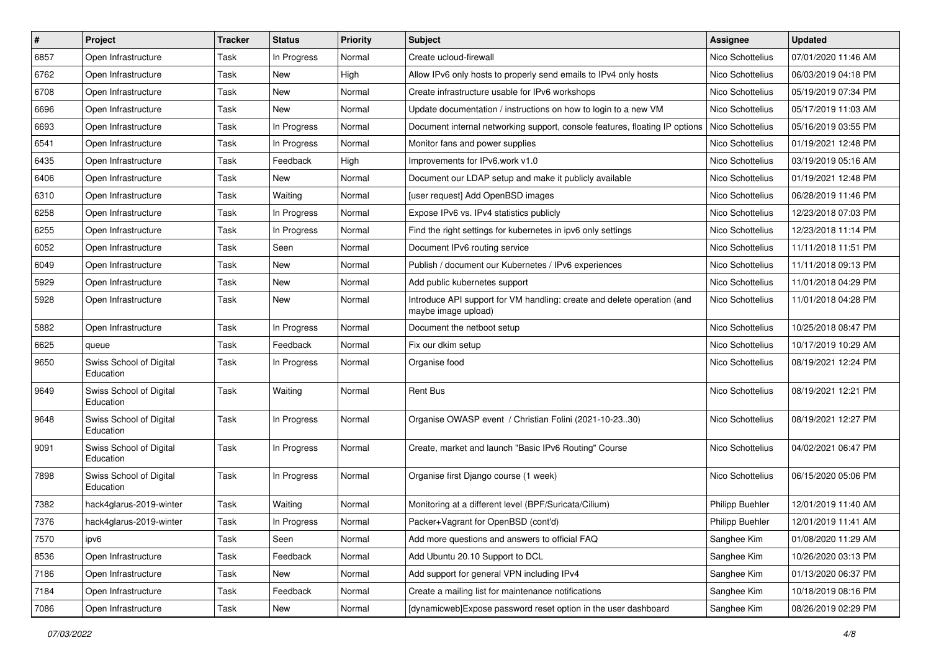| $\vert$ # | Project                              | <b>Tracker</b> | <b>Status</b> | <b>Priority</b> | <b>Subject</b>                                                                                 | <b>Assignee</b>        | <b>Updated</b>      |
|-----------|--------------------------------------|----------------|---------------|-----------------|------------------------------------------------------------------------------------------------|------------------------|---------------------|
| 6857      | Open Infrastructure                  | Task           | In Progress   | Normal          | Create ucloud-firewall                                                                         | Nico Schottelius       | 07/01/2020 11:46 AM |
| 6762      | Open Infrastructure                  | Task           | New           | High            | Allow IPv6 only hosts to properly send emails to IPv4 only hosts                               | Nico Schottelius       | 06/03/2019 04:18 PM |
| 6708      | Open Infrastructure                  | Task           | New           | Normal          | Create infrastructure usable for IPv6 workshops                                                | Nico Schottelius       | 05/19/2019 07:34 PM |
| 6696      | Open Infrastructure                  | Task           | New           | Normal          | Update documentation / instructions on how to login to a new VM                                | Nico Schottelius       | 05/17/2019 11:03 AM |
| 6693      | Open Infrastructure                  | Task           | In Progress   | Normal          | Document internal networking support, console features, floating IP options                    | Nico Schottelius       | 05/16/2019 03:55 PM |
| 6541      | Open Infrastructure                  | Task           | In Progress   | Normal          | Monitor fans and power supplies                                                                | Nico Schottelius       | 01/19/2021 12:48 PM |
| 6435      | Open Infrastructure                  | Task           | Feedback      | High            | Improvements for IPv6.work v1.0                                                                | Nico Schottelius       | 03/19/2019 05:16 AM |
| 6406      | Open Infrastructure                  | Task           | New           | Normal          | Document our LDAP setup and make it publicly available                                         | Nico Schottelius       | 01/19/2021 12:48 PM |
| 6310      | Open Infrastructure                  | Task           | Waiting       | Normal          | [user request] Add OpenBSD images                                                              | Nico Schottelius       | 06/28/2019 11:46 PM |
| 6258      | Open Infrastructure                  | Task           | In Progress   | Normal          | Expose IPv6 vs. IPv4 statistics publicly                                                       | Nico Schottelius       | 12/23/2018 07:03 PM |
| 6255      | Open Infrastructure                  | Task           | In Progress   | Normal          | Find the right settings for kubernetes in ipv6 only settings                                   | Nico Schottelius       | 12/23/2018 11:14 PM |
| 6052      | Open Infrastructure                  | Task           | Seen          | Normal          | Document IPv6 routing service                                                                  | Nico Schottelius       | 11/11/2018 11:51 PM |
| 6049      | Open Infrastructure                  | Task           | New           | Normal          | Publish / document our Kubernetes / IPv6 experiences                                           | Nico Schottelius       | 11/11/2018 09:13 PM |
| 5929      | Open Infrastructure                  | Task           | New           | Normal          | Add public kubernetes support                                                                  | Nico Schottelius       | 11/01/2018 04:29 PM |
| 5928      | Open Infrastructure                  | Task           | New           | Normal          | Introduce API support for VM handling: create and delete operation (and<br>maybe image upload) | Nico Schottelius       | 11/01/2018 04:28 PM |
| 5882      | Open Infrastructure                  | Task           | In Progress   | Normal          | Document the netboot setup                                                                     | Nico Schottelius       | 10/25/2018 08:47 PM |
| 6625      | queue                                | Task           | Feedback      | Normal          | Fix our dkim setup                                                                             | Nico Schottelius       | 10/17/2019 10:29 AM |
| 9650      | Swiss School of Digital<br>Education | Task           | In Progress   | Normal          | Organise food                                                                                  | Nico Schottelius       | 08/19/2021 12:24 PM |
| 9649      | Swiss School of Digital<br>Education | Task           | Waiting       | Normal          | <b>Rent Bus</b>                                                                                | Nico Schottelius       | 08/19/2021 12:21 PM |
| 9648      | Swiss School of Digital<br>Education | Task           | In Progress   | Normal          | Organise OWASP event / Christian Folini (2021-10-2330)                                         | Nico Schottelius       | 08/19/2021 12:27 PM |
| 9091      | Swiss School of Digital<br>Education | Task           | In Progress   | Normal          | Create, market and launch "Basic IPv6 Routing" Course                                          | Nico Schottelius       | 04/02/2021 06:47 PM |
| 7898      | Swiss School of Digital<br>Education | Task           | In Progress   | Normal          | Organise first Django course (1 week)                                                          | Nico Schottelius       | 06/15/2020 05:06 PM |
| 7382      | hack4glarus-2019-winter              | Task           | Waiting       | Normal          | Monitoring at a different level (BPF/Suricata/Cilium)                                          | <b>Philipp Buehler</b> | 12/01/2019 11:40 AM |
| 7376      | hack4glarus-2019-winter              | Task           | In Progress   | Normal          | Packer+Vagrant for OpenBSD (cont'd)                                                            | <b>Philipp Buehler</b> | 12/01/2019 11:41 AM |
| 7570      | ipv6                                 | Task           | Seen          | Normal          | Add more questions and answers to official FAQ                                                 | Sanghee Kim            | 01/08/2020 11:29 AM |
| 8536      | Open Infrastructure                  | Task           | Feedback      | Normal          | Add Ubuntu 20.10 Support to DCL                                                                | Sanghee Kim            | 10/26/2020 03:13 PM |
| 7186      | Open Infrastructure                  | Task           | New           | Normal          | Add support for general VPN including IPv4                                                     | Sanghee Kim            | 01/13/2020 06:37 PM |
| 7184      | Open Infrastructure                  | Task           | Feedback      | Normal          | Create a mailing list for maintenance notifications                                            | Sanghee Kim            | 10/18/2019 08:16 PM |
| 7086      | Open Infrastructure                  | Task           | New           | Normal          | [dynamicweb]Expose password reset option in the user dashboard                                 | Sanghee Kim            | 08/26/2019 02:29 PM |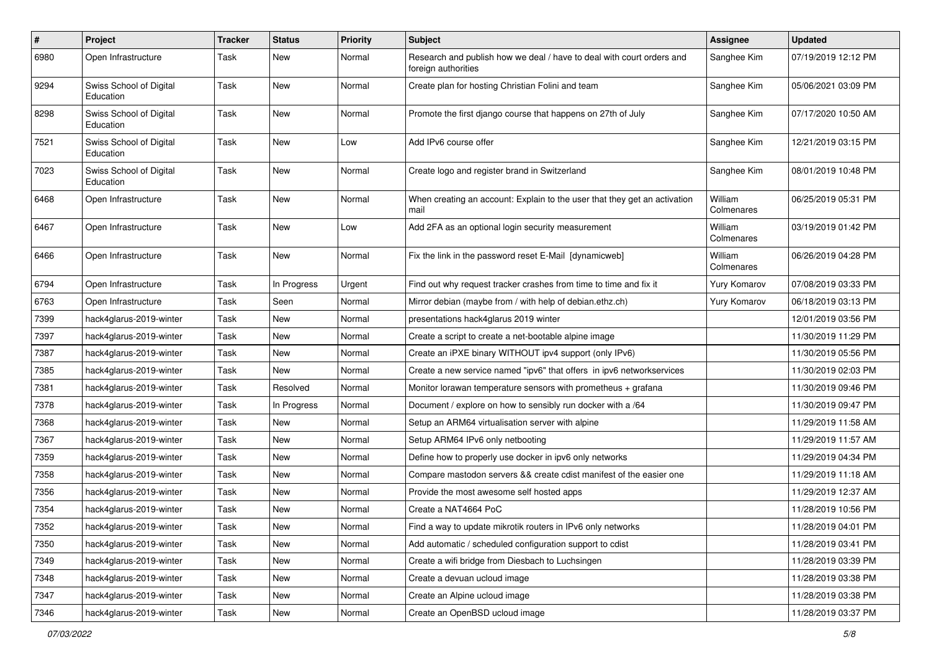| $\vert$ # | Project                              | <b>Tracker</b> | <b>Status</b> | <b>Priority</b> | Subject                                                                                      | <b>Assignee</b>       | <b>Updated</b>      |
|-----------|--------------------------------------|----------------|---------------|-----------------|----------------------------------------------------------------------------------------------|-----------------------|---------------------|
| 6980      | Open Infrastructure                  | Task           | New           | Normal          | Research and publish how we deal / have to deal with court orders and<br>foreign authorities | Sanghee Kim           | 07/19/2019 12:12 PM |
| 9294      | Swiss School of Digital<br>Education | Task           | New           | Normal          | Create plan for hosting Christian Folini and team                                            | Sanghee Kim           | 05/06/2021 03:09 PM |
| 8298      | Swiss School of Digital<br>Education | Task           | New           | Normal          | Promote the first django course that happens on 27th of July                                 | Sanghee Kim           | 07/17/2020 10:50 AM |
| 7521      | Swiss School of Digital<br>Education | Task           | New           | Low             | Add IPv6 course offer                                                                        | Sanghee Kim           | 12/21/2019 03:15 PM |
| 7023      | Swiss School of Digital<br>Education | Task           | New           | Normal          | Create logo and register brand in Switzerland                                                | Sanghee Kim           | 08/01/2019 10:48 PM |
| 6468      | Open Infrastructure                  | Task           | New           | Normal          | When creating an account: Explain to the user that they get an activation<br>mail            | William<br>Colmenares | 06/25/2019 05:31 PM |
| 6467      | Open Infrastructure                  | Task           | New           | Low             | Add 2FA as an optional login security measurement                                            | William<br>Colmenares | 03/19/2019 01:42 PM |
| 6466      | Open Infrastructure                  | Task           | New           | Normal          | Fix the link in the password reset E-Mail [dynamicweb]                                       | William<br>Colmenares | 06/26/2019 04:28 PM |
| 6794      | Open Infrastructure                  | Task           | In Progress   | Urgent          | Find out why request tracker crashes from time to time and fix it                            | Yury Komarov          | 07/08/2019 03:33 PM |
| 6763      | Open Infrastructure                  | Task           | Seen          | Normal          | Mirror debian (maybe from / with help of debian.ethz.ch)                                     | Yury Komarov          | 06/18/2019 03:13 PM |
| 7399      | hack4glarus-2019-winter              | Task           | New           | Normal          | presentations hack4glarus 2019 winter                                                        |                       | 12/01/2019 03:56 PM |
| 7397      | hack4glarus-2019-winter              | Task           | New           | Normal          | Create a script to create a net-bootable alpine image                                        |                       | 11/30/2019 11:29 PM |
| 7387      | hack4glarus-2019-winter              | Task           | New           | Normal          | Create an iPXE binary WITHOUT ipv4 support (only IPv6)                                       |                       | 11/30/2019 05:56 PM |
| 7385      | hack4glarus-2019-winter              | Task           | New           | Normal          | Create a new service named "ipv6" that offers in ipv6 networkservices                        |                       | 11/30/2019 02:03 PM |
| 7381      | hack4glarus-2019-winter              | Task           | Resolved      | Normal          | Monitor lorawan temperature sensors with prometheus $+$ grafana                              |                       | 11/30/2019 09:46 PM |
| 7378      | hack4glarus-2019-winter              | Task           | In Progress   | Normal          | Document / explore on how to sensibly run docker with a /64                                  |                       | 11/30/2019 09:47 PM |
| 7368      | hack4glarus-2019-winter              | Task           | New           | Normal          | Setup an ARM64 virtualisation server with alpine                                             |                       | 11/29/2019 11:58 AM |
| 7367      | hack4glarus-2019-winter              | Task           | New           | Normal          | Setup ARM64 IPv6 only netbooting                                                             |                       | 11/29/2019 11:57 AM |
| 7359      | hack4glarus-2019-winter              | Task           | New           | Normal          | Define how to properly use docker in ipv6 only networks                                      |                       | 11/29/2019 04:34 PM |
| 7358      | hack4glarus-2019-winter              | Task           | New           | Normal          | Compare mastodon servers && create cdist manifest of the easier one                          |                       | 11/29/2019 11:18 AM |
| 7356      | hack4glarus-2019-winter              | Task           | New           | Normal          | Provide the most awesome self hosted apps                                                    |                       | 11/29/2019 12:37 AM |
| 7354      | hack4glarus-2019-winter              | Task           | New           | Normal          | Create a NAT4664 PoC                                                                         |                       | 11/28/2019 10:56 PM |
| 7352      | hack4glarus-2019-winter              | Task           | New           | Normal          | Find a way to update mikrotik routers in IPv6 only networks                                  |                       | 11/28/2019 04:01 PM |
| 7350      | hack4glarus-2019-winter              | Task           | New           | Normal          | Add automatic / scheduled configuration support to cdist                                     |                       | 11/28/2019 03:41 PM |
| 7349      | hack4glarus-2019-winter              | Task           | New           | Normal          | Create a wifi bridge from Diesbach to Luchsingen                                             |                       | 11/28/2019 03:39 PM |
| 7348      | hack4glarus-2019-winter              | Task           | New           | Normal          | Create a devuan ucloud image                                                                 |                       | 11/28/2019 03:38 PM |
| 7347      | hack4glarus-2019-winter              | Task           | New           | Normal          | Create an Alpine ucloud image                                                                |                       | 11/28/2019 03:38 PM |
| 7346      | hack4glarus-2019-winter              | Task           | New           | Normal          | Create an OpenBSD ucloud image                                                               |                       | 11/28/2019 03:37 PM |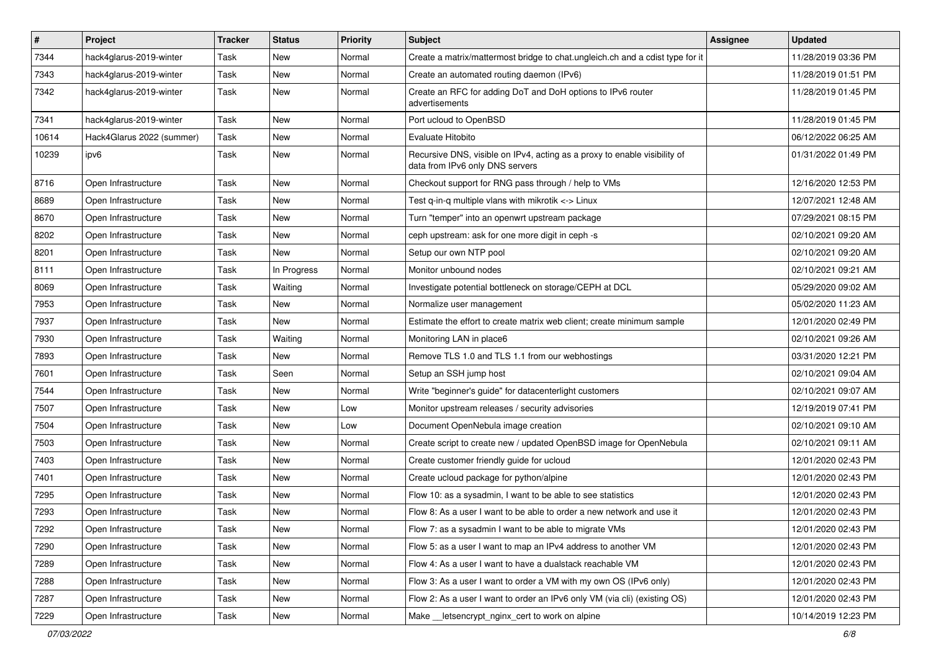| $\vert$ # | Project                   | <b>Tracker</b> | <b>Status</b> | <b>Priority</b> | Subject                                                                                                      | <b>Assignee</b> | <b>Updated</b>      |
|-----------|---------------------------|----------------|---------------|-----------------|--------------------------------------------------------------------------------------------------------------|-----------------|---------------------|
| 7344      | hack4glarus-2019-winter   | Task           | New           | Normal          | Create a matrix/mattermost bridge to chat.ungleich.ch and a cdist type for it                                |                 | 11/28/2019 03:36 PM |
| 7343      | hack4glarus-2019-winter   | Task           | New           | Normal          | Create an automated routing daemon (IPv6)                                                                    |                 | 11/28/2019 01:51 PM |
| 7342      | hack4glarus-2019-winter   | Task           | New           | Normal          | Create an RFC for adding DoT and DoH options to IPv6 router<br>advertisements                                |                 | 11/28/2019 01:45 PM |
| 7341      | hack4glarus-2019-winter   | Task           | New           | Normal          | Port ucloud to OpenBSD                                                                                       |                 | 11/28/2019 01:45 PM |
| 10614     | Hack4Glarus 2022 (summer) | Task           | New           | Normal          | Evaluate Hitobito                                                                                            |                 | 06/12/2022 06:25 AM |
| 10239     | ipv6                      | Task           | New           | Normal          | Recursive DNS, visible on IPv4, acting as a proxy to enable visibility of<br>data from IPv6 only DNS servers |                 | 01/31/2022 01:49 PM |
| 8716      | Open Infrastructure       | Task           | New           | Normal          | Checkout support for RNG pass through / help to VMs                                                          |                 | 12/16/2020 12:53 PM |
| 8689      | Open Infrastructure       | Task           | <b>New</b>    | Normal          | Test q-in-q multiple vlans with mikrotik <-> Linux                                                           |                 | 12/07/2021 12:48 AM |
| 8670      | Open Infrastructure       | Task           | New           | Normal          | Turn "temper" into an openwrt upstream package                                                               |                 | 07/29/2021 08:15 PM |
| 8202      | Open Infrastructure       | Task           | New           | Normal          | ceph upstream: ask for one more digit in ceph -s                                                             |                 | 02/10/2021 09:20 AM |
| 8201      | Open Infrastructure       | Task           | New           | Normal          | Setup our own NTP pool                                                                                       |                 | 02/10/2021 09:20 AM |
| 8111      | Open Infrastructure       | Task           | In Progress   | Normal          | Monitor unbound nodes                                                                                        |                 | 02/10/2021 09:21 AM |
| 8069      | Open Infrastructure       | Task           | Waiting       | Normal          | Investigate potential bottleneck on storage/CEPH at DCL                                                      |                 | 05/29/2020 09:02 AM |
| 7953      | Open Infrastructure       | Task           | New           | Normal          | Normalize user management                                                                                    |                 | 05/02/2020 11:23 AM |
| 7937      | Open Infrastructure       | Task           | New           | Normal          | Estimate the effort to create matrix web client; create minimum sample                                       |                 | 12/01/2020 02:49 PM |
| 7930      | Open Infrastructure       | Task           | Waiting       | Normal          | Monitoring LAN in place6                                                                                     |                 | 02/10/2021 09:26 AM |
| 7893      | Open Infrastructure       | Task           | New           | Normal          | Remove TLS 1.0 and TLS 1.1 from our webhostings                                                              |                 | 03/31/2020 12:21 PM |
| 7601      | Open Infrastructure       | Task           | Seen          | Normal          | Setup an SSH jump host                                                                                       |                 | 02/10/2021 09:04 AM |
| 7544      | Open Infrastructure       | Task           | New           | Normal          | Write "beginner's guide" for datacenterlight customers                                                       |                 | 02/10/2021 09:07 AM |
| 7507      | Open Infrastructure       | Task           | New           | Low             | Monitor upstream releases / security advisories                                                              |                 | 12/19/2019 07:41 PM |
| 7504      | Open Infrastructure       | Task           | <b>New</b>    | Low             | Document OpenNebula image creation                                                                           |                 | 02/10/2021 09:10 AM |
| 7503      | Open Infrastructure       | Task           | New           | Normal          | Create script to create new / updated OpenBSD image for OpenNebula                                           |                 | 02/10/2021 09:11 AM |
| 7403      | Open Infrastructure       | Task           | New           | Normal          | Create customer friendly guide for ucloud                                                                    |                 | 12/01/2020 02:43 PM |
| 7401      | Open Infrastructure       | Task           | New           | Normal          | Create ucloud package for python/alpine                                                                      |                 | 12/01/2020 02:43 PM |
| 7295      | Open Infrastructure       | Task           | New           | Normal          | Flow 10: as a sysadmin, I want to be able to see statistics                                                  |                 | 12/01/2020 02:43 PM |
| 7293      | Open Infrastructure       | Task           | New           | Normal          | Flow 8: As a user I want to be able to order a new network and use it                                        |                 | 12/01/2020 02:43 PM |
| 7292      | Open Infrastructure       | Task           | New           | Normal          | Flow 7: as a sysadmin I want to be able to migrate VMs                                                       |                 | 12/01/2020 02:43 PM |
| 7290      | Open Infrastructure       | Task           | New           | Normal          | Flow 5: as a user I want to map an IPv4 address to another VM                                                |                 | 12/01/2020 02:43 PM |
| 7289      | Open Infrastructure       | Task           | New           | Normal          | Flow 4: As a user I want to have a dualstack reachable VM                                                    |                 | 12/01/2020 02:43 PM |
| 7288      | Open Infrastructure       | Task           | New           | Normal          | Flow 3: As a user I want to order a VM with my own OS (IPv6 only)                                            |                 | 12/01/2020 02:43 PM |
| 7287      | Open Infrastructure       | Task           | New           | Normal          | Flow 2: As a user I want to order an IPv6 only VM (via cli) (existing OS)                                    |                 | 12/01/2020 02:43 PM |
| 7229      | Open Infrastructure       | Task           | New           | Normal          | Make __ letsencrypt_nginx_cert to work on alpine                                                             |                 | 10/14/2019 12:23 PM |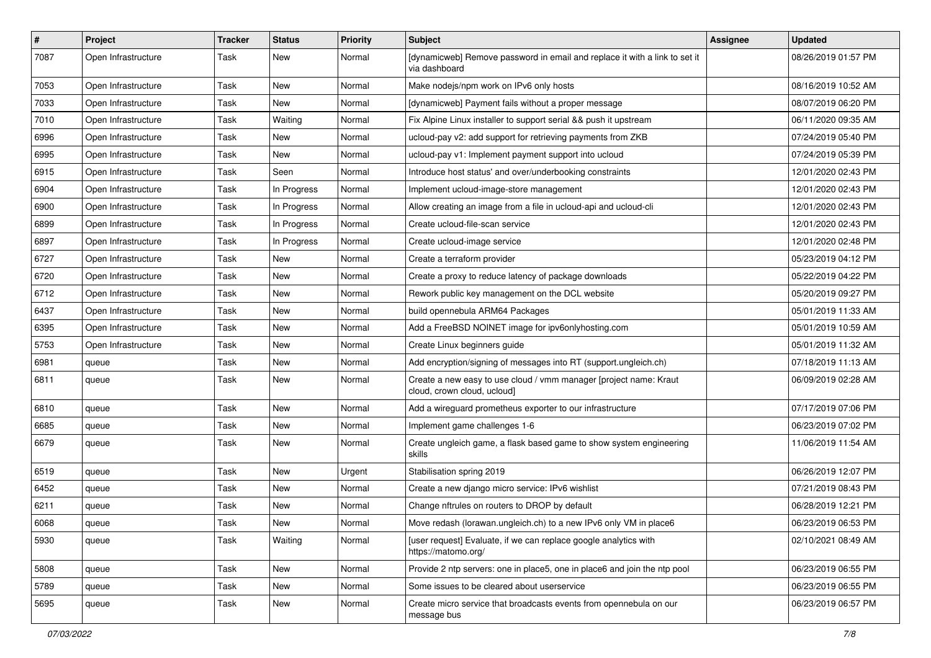| $\sharp$ | Project             | <b>Tracker</b> | <b>Status</b> | <b>Priority</b> | Subject                                                                                          | Assignee | <b>Updated</b>      |
|----------|---------------------|----------------|---------------|-----------------|--------------------------------------------------------------------------------------------------|----------|---------------------|
| 7087     | Open Infrastructure | Task           | New           | Normal          | [dynamicweb] Remove password in email and replace it with a link to set it<br>via dashboard      |          | 08/26/2019 01:57 PM |
| 7053     | Open Infrastructure | Task           | New           | Normal          | Make nodejs/npm work on IPv6 only hosts                                                          |          | 08/16/2019 10:52 AM |
| 7033     | Open Infrastructure | Task           | New           | Normal          | [dynamicweb] Payment fails without a proper message                                              |          | 08/07/2019 06:20 PM |
| 7010     | Open Infrastructure | Task           | Waiting       | Normal          | Fix Alpine Linux installer to support serial && push it upstream                                 |          | 06/11/2020 09:35 AM |
| 6996     | Open Infrastructure | Task           | New           | Normal          | ucloud-pay v2: add support for retrieving payments from ZKB                                      |          | 07/24/2019 05:40 PM |
| 6995     | Open Infrastructure | Task           | New           | Normal          | ucloud-pay v1: Implement payment support into ucloud                                             |          | 07/24/2019 05:39 PM |
| 6915     | Open Infrastructure | Task           | Seen          | Normal          | Introduce host status' and over/underbooking constraints                                         |          | 12/01/2020 02:43 PM |
| 6904     | Open Infrastructure | Task           | In Progress   | Normal          | Implement ucloud-image-store management                                                          |          | 12/01/2020 02:43 PM |
| 6900     | Open Infrastructure | Task           | In Progress   | Normal          | Allow creating an image from a file in ucloud-api and ucloud-cli                                 |          | 12/01/2020 02:43 PM |
| 6899     | Open Infrastructure | Task           | In Progress   | Normal          | Create ucloud-file-scan service                                                                  |          | 12/01/2020 02:43 PM |
| 6897     | Open Infrastructure | Task           | In Progress   | Normal          | Create ucloud-image service                                                                      |          | 12/01/2020 02:48 PM |
| 6727     | Open Infrastructure | Task           | <b>New</b>    | Normal          | Create a terraform provider                                                                      |          | 05/23/2019 04:12 PM |
| 6720     | Open Infrastructure | Task           | New           | Normal          | Create a proxy to reduce latency of package downloads                                            |          | 05/22/2019 04:22 PM |
| 6712     | Open Infrastructure | Task           | <b>New</b>    | Normal          | Rework public key management on the DCL website                                                  |          | 05/20/2019 09:27 PM |
| 6437     | Open Infrastructure | Task           | New           | Normal          | build opennebula ARM64 Packages                                                                  |          | 05/01/2019 11:33 AM |
| 6395     | Open Infrastructure | Task           | New           | Normal          | Add a FreeBSD NOINET image for ipv6onlyhosting.com                                               |          | 05/01/2019 10:59 AM |
| 5753     | Open Infrastructure | Task           | New           | Normal          | Create Linux beginners guide                                                                     |          | 05/01/2019 11:32 AM |
| 6981     | queue               | Task           | New           | Normal          | Add encryption/signing of messages into RT (support.ungleich.ch)                                 |          | 07/18/2019 11:13 AM |
| 6811     | queue               | Task           | New           | Normal          | Create a new easy to use cloud / vmm manager [project name: Kraut<br>cloud, crown cloud, ucloud] |          | 06/09/2019 02:28 AM |
| 6810     | queue               | Task           | New           | Normal          | Add a wireguard prometheus exporter to our infrastructure                                        |          | 07/17/2019 07:06 PM |
| 6685     | queue               | Task           | New           | Normal          | Implement game challenges 1-6                                                                    |          | 06/23/2019 07:02 PM |
| 6679     | queue               | Task           | New           | Normal          | Create ungleich game, a flask based game to show system engineering<br>skills                    |          | 11/06/2019 11:54 AM |
| 6519     | queue               | Task           | New           | Urgent          | Stabilisation spring 2019                                                                        |          | 06/26/2019 12:07 PM |
| 6452     | queue               | Task           | New           | Normal          | Create a new diango micro service: IPv6 wishlist                                                 |          | 07/21/2019 08:43 PM |
| 6211     | queue               | Task           | New           | Normal          | Change nftrules on routers to DROP by default                                                    |          | 06/28/2019 12:21 PM |
| 6068     | queue               | Task           | New           | Normal          | Move redash (lorawan.ungleich.ch) to a new IPv6 only VM in place6                                |          | 06/23/2019 06:53 PM |
| 5930     | queue               | Task           | Waiting       | Normal          | [user request] Evaluate, if we can replace google analytics with<br>https://matomo.org/          |          | 02/10/2021 08:49 AM |
| 5808     | queue               | Task           | New           | Normal          | Provide 2 ntp servers: one in place5, one in place6 and join the ntp pool                        |          | 06/23/2019 06:55 PM |
| 5789     | queue               | Task           | New           | Normal          | Some issues to be cleared about userservice                                                      |          | 06/23/2019 06:55 PM |
| 5695     | queue               | Task           | New           | Normal          | Create micro service that broadcasts events from opennebula on our<br>message bus                |          | 06/23/2019 06:57 PM |